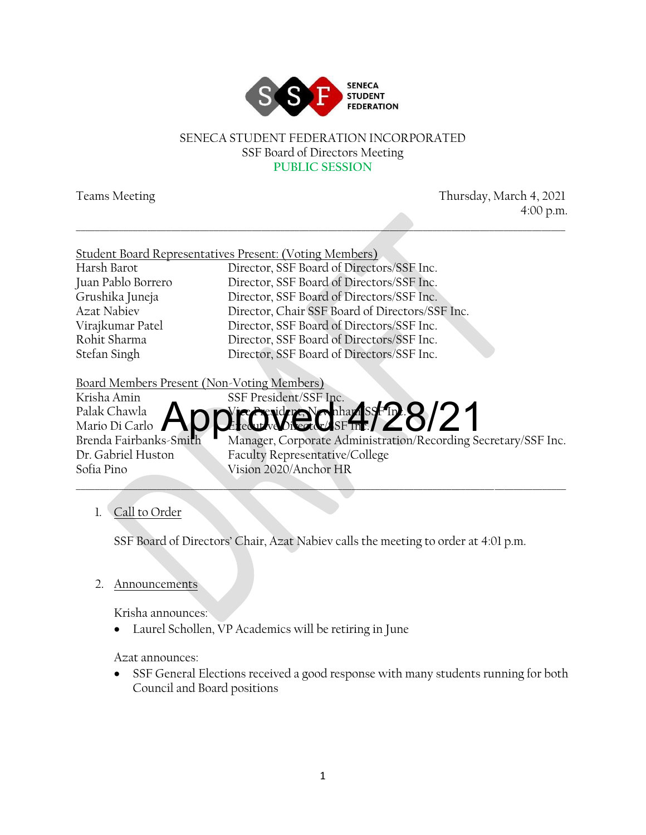

#### SENECA STUDENT FEDERATION INCORPORATED SSF Board of Directors Meeting **PUBLIC SESSION**

\_\_\_\_\_\_\_\_\_\_\_\_\_\_\_\_\_\_\_\_\_\_\_\_\_\_\_\_\_\_\_\_\_\_\_\_\_\_\_\_\_\_\_\_\_\_\_\_\_\_\_\_\_\_\_\_\_\_\_\_\_\_\_\_\_\_\_\_\_\_\_\_\_\_\_\_\_\_\_\_\_\_\_\_\_\_\_\_\_\_\_\_\_\_\_\_\_\_\_\_\_\_\_

Teams Meeting Thursday, March 4, 2021 4:00 p.m.

|                    | <b>Student Board Representatives Present: (Voting Members)</b> |
|--------------------|----------------------------------------------------------------|
| Harsh Barot        | Director, SSF Board of Directors/SSF Inc.                      |
| Juan Pablo Borrero | Director, SSF Board of Directors/SSF Inc.                      |
| Grushika Juneja    | Director, SSF Board of Directors/SSF Inc.                      |
| Azat Nabiev        | Director, Chair SSF Board of Directors/SSF Inc.                |
| Virajkumar Patel   | Director, SSF Board of Directors/SSF Inc.                      |
| Rohit Sharma       | Director, SSF Board of Directors/SSF Inc.                      |
| Stefan Singh       | Director, SSF Board of Directors/SSF Inc.                      |

Board Members Present (Non-Voting Members)



#### 1. Call to Order

SSF Board of Directors' Chair, Azat Nabiev calls the meeting to order at 4:01 p.m.

#### 2. Announcements

Krisha announces:

Laurel Schollen, VP Academics will be retiring in June

Azat announces:

• SSF General Elections received a good response with many students running for both Council and Board positions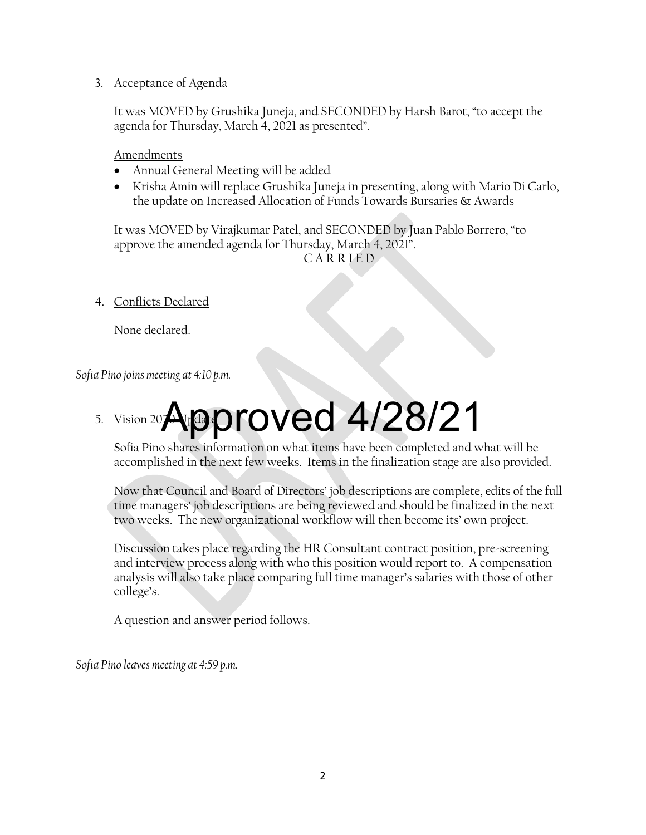#### 3. Acceptance of Agenda

It was MOVED by Grushika Juneja, and SECONDED by Harsh Barot, "to accept the agenda for Thursday, March 4, 2021 as presented".

Amendments

- Annual General Meeting will be added
- Krisha Amin will replace Grushika Juneja in presenting, along with Mario Di Carlo, the update on Increased Allocation of Funds Towards Bursaries & Awards

It was MOVED by Virajkumar Patel, and SECONDED by Juan Pablo Borrero, "to approve the amended agenda for Thursday, March 4, 2021".

C A R R I E D

4. Conflicts Declared

None declared.

*Sofia Pino joins meeting at 4:10 p.m.*

### 5. Vision 202 Approved 4/28/21

Sofia Pino shares information on what items have been completed and what will be accomplished in the next few weeks. Items in the finalization stage are also provided.

Now that Council and Board of Directors' job descriptions are complete, edits of the full time managers' job descriptions are being reviewed and should be finalized in the next two weeks. The new organizational workflow will then become its' own project.

Discussion takes place regarding the HR Consultant contract position, pre-screening and interview process along with who this position would report to. A compensation analysis will also take place comparing full time manager's salaries with those of other college's.

A question and answer period follows.

*Sofia Pino leaves meeting at 4:59 p.m.*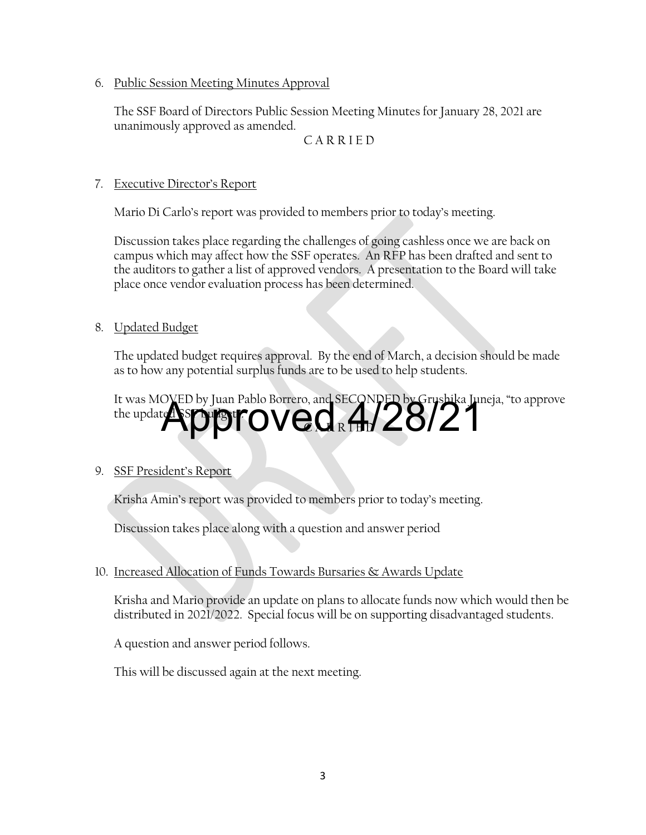6. Public Session Meeting Minutes Approval

The SSF Board of Directors Public Session Meeting Minutes for January 28, 2021 are unanimously approved as amended.

C A R R I E D

#### 7. Executive Director's Report

Mario Di Carlo's report was provided to members prior to today's meeting.

Discussion takes place regarding the challenges of going cashless once we are back on campus which may affect how the SSF operates. An RFP has been drafted and sent to the auditors to gather a list of approved vendors. A presentation to the Board will take place once vendor evaluation process has been determined.

#### 8. Updated Budget

The updated budget requires approval. By the end of March, a decision should be made as to how any potential surplus funds are to be used to help students.

It was MOVED by Juan Pablo Borrero, and SECONDED by Grushika Juneja, "to approve the updated SSF burght Approved 4/28/21

#### 9. SSF President's Report

Krisha Amin's report was provided to members prior to today's meeting.

Discussion takes place along with a question and answer period

#### 10. Increased Allocation of Funds Towards Bursaries & Awards Update

Krisha and Mario provide an update on plans to allocate funds now which would then be distributed in 2021/2022. Special focus will be on supporting disadvantaged students.

A question and answer period follows.

This will be discussed again at the next meeting.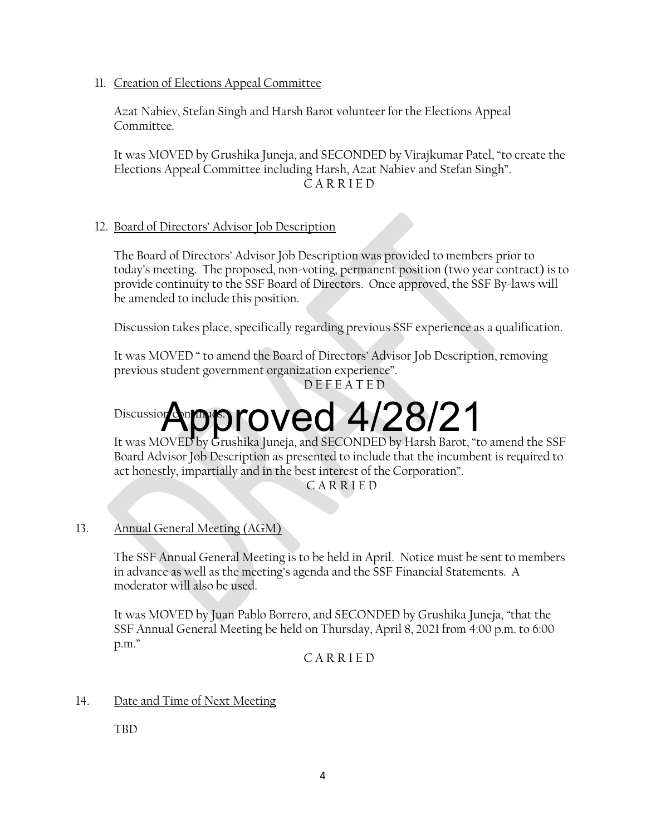11. Creation of Elections Appeal Committee

Azat Nabiev, Stefan Singh and Harsh Barot volunteer for the Elections Appeal Committee.

It was MOVED by Grushika Juneja, and SECONDED by Virajkumar Patel, "to create the Elections Appeal Committee including Harsh, Azat Nabiev and Stefan Singh". C A R R I E D

#### 12. Board of Directors' Advisor Job Description

The Board of Directors' Advisor Job Description was provided to members prior to today's meeting. The proposed, non-voting, permanent position (two year contract) is to provide continuity to the SSF Board of Directors. Once approved, the SSF By-laws will be amended to include this position.

Discussion takes place, specifically regarding previous SSF experience as a qualification.

It was MOVED " to amend the Board of Directors' Advisor Job Description, removing previous student government organization experience". D E F E A T E D

## Discussion **Approved 4/28/21**

It was MOVED by Grushika Juneja, and SECONDED by Harsh Barot, "to amend the SSF Board Advisor Job Description as presented to include that the incumbent is required to act honestly, impartially and in the best interest of the Corporation".

C A R R I E D

13. Annual General Meeting (AGM)

The SSF Annual General Meeting is to be held in April. Notice must be sent to members in advance as well as the meeting's agenda and the SSF Financial Statements. A moderator will also be used.

It was MOVED by Juan Pablo Borrero, and SECONDED by Grushika Juneja, "that the SSF Annual General Meeting be held on Thursday, April 8, 2021 from 4:00 p.m. to 6:00 p.m."

C A R R I E D

#### 14. Date and Time of Next Meeting

TBD